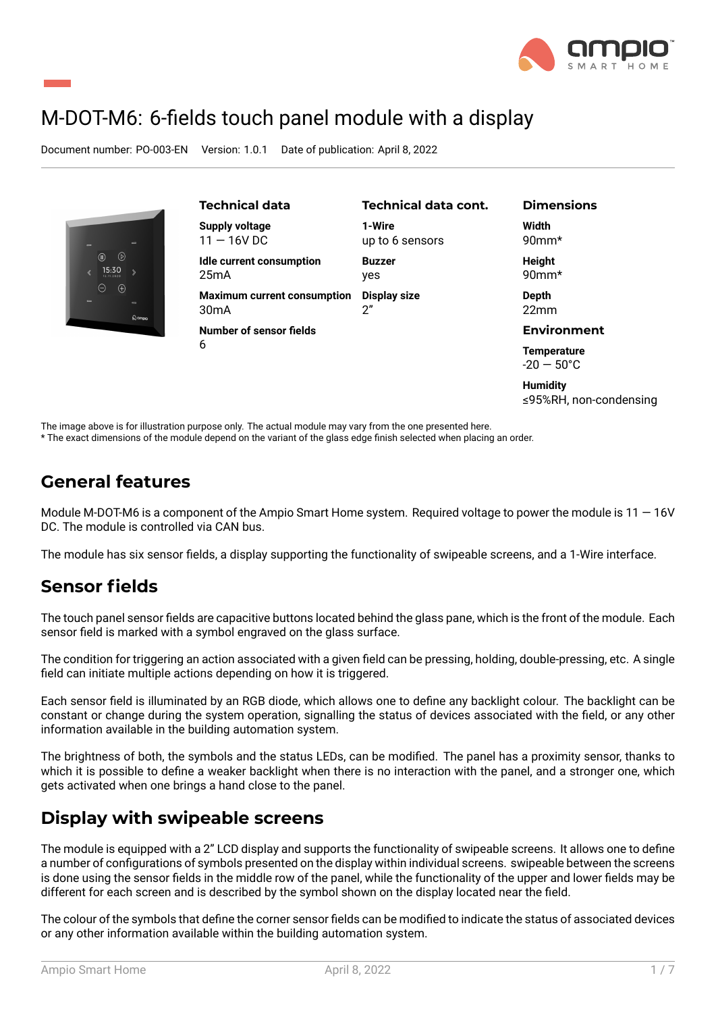

≤95%RH, non-condensing

# M-DOT-M6: 6-fields touch panel module with a display

Document number: PO-003-EN Version: 1.0.1 Date of publication: April 8, 2022

| $\Rightarrow$<br>$\equiv$<br>◉<br>◉<br>15:30<br>$\langle$<br>Θ<br>$\bigoplus$<br>$\sim$<br>$\sim$<br>$\omega$ ampig | <b>Technical data</b><br><b>Supply voltage</b><br>$11 - 16V$ DC | <b>Technical data cont.</b><br>1-Wire<br>up to 6 sensors | <b>Dimensions</b><br>Width<br>$90$ mm*     |
|---------------------------------------------------------------------------------------------------------------------|-----------------------------------------------------------------|----------------------------------------------------------|--------------------------------------------|
|                                                                                                                     | <b>Idle current consumption</b><br>25mA                         | <b>Buzzer</b><br>yes                                     | <b>Height</b><br>$90$ mm $*$               |
|                                                                                                                     | <b>Maximum current consumption</b><br>30 <sub>m</sub> A         | <b>Display size</b><br>2"                                | Depth<br>22mm                              |
|                                                                                                                     | Number of sensor fields                                         |                                                          | <b>Environment</b>                         |
|                                                                                                                     | 6                                                               |                                                          | <b>Temperature</b><br>$-20 - 50^{\circ}$ C |
|                                                                                                                     |                                                                 |                                                          | <b>Humidity</b>                            |

The image above is for illustration purpose only. The actual module may vary from the one presented here.

\* The exact dimensions of the module depend on the variant of the glass edge finish selected when placing an order.

### **General features**

Module M-DOT-M6 is a component of the Ampio Smart Home system. Required voltage to power the module is  $11 - 16V$ DC. The module is controlled via CAN bus.

The module has six sensor fields, a display supporting the functionality of swipeable screens, and a 1-Wire interface.

#### **Sensor fields**

The touch panel sensor fields are capacitive buttons located behind the glass pane, which is the front of the module. Each sensor field is marked with a symbol engraved on the glass surface.

The condition for triggering an action associated with a given field can be pressing, holding, double-pressing, etc. A single field can initiate multiple actions depending on how it is triggered.

Each sensor field is illuminated by an RGB diode, which allows one to define any backlight colour. The backlight can be constant or change during the system operation, signalling the status of devices associated with the field, or any other information available in the building automation system.

The brightness of both, the symbols and the status LEDs, can be modified. The panel has a proximity sensor, thanks to which it is possible to define a weaker backlight when there is no interaction with the panel, and a stronger one, which gets activated when one brings a hand close to the panel.

# **Display with swipeable screens**

The module is equipped with a 2" LCD display and supports the functionality of swipeable screens. It allows one to define a number of configurations of symbols presented on the display within individual screens. swipeable between the screens is done using the sensor fields in the middle row of the panel, while the functionality of the upper and lower fields may be different for each screen and is described by the symbol shown on the display located near the field.

The colour of the symbols that define the corner sensor fields can be modified to indicate the status of associated devices or any other information available within the building automation system.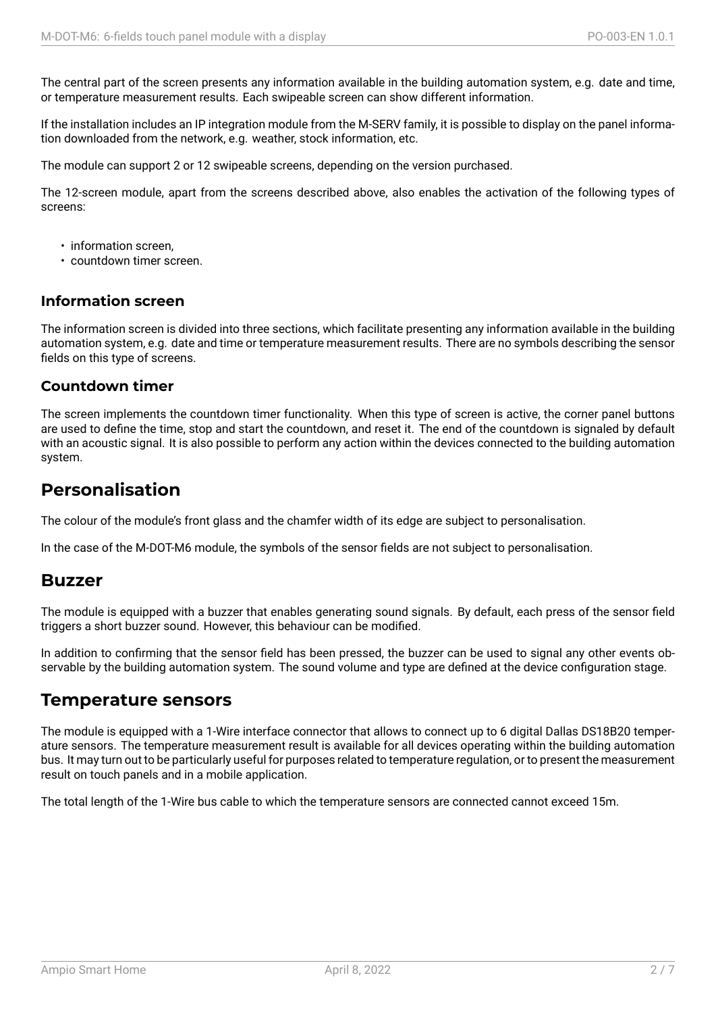The central part of the screen presents any information available in the building automation system, e.g. date and time, or temperature measurement results. Each swipeable screen can show different information.

If the installation includes an IP integration module from the M-SERV family, it is possible to display on the panel information downloaded from the network, e.g. weather, stock information, etc.

The module can support 2 or 12 swipeable screens, depending on the version purchased.

The 12-screen module, apart from the screens described above, also enables the activation of the following types of screens:

- information screen,
- countdown timer screen.

#### **Information screen**

The information screen is divided into three sections, which facilitate presenting any information available in the building automation system, e.g. date and time or temperature measurement results. There are no symbols describing the sensor fields on this type of screens.

#### **Countdown timer**

The screen implements the countdown timer functionality. When this type of screen is active, the corner panel buttons are used to define the time, stop and start the countdown, and reset it. The end of the countdown is signaled by default with an acoustic signal. It is also possible to perform any action within the devices connected to the building automation system.

#### **Personalisation**

The colour of the module's front glass and the chamfer width of its edge are subject to personalisation.

In the case of the M-DOT-M6 module, the symbols of the sensor fields are not subject to personalisation.

#### **Buzzer**

The module is equipped with a buzzer that enables generating sound signals. By default, each press of the sensor field triggers a short buzzer sound. However, this behaviour can be modified.

In addition to confirming that the sensor field has been pressed, the buzzer can be used to signal any other events observable by the building automation system. The sound volume and type are defined at the device configuration stage.

#### **Temperature sensors**

The module is equipped with a 1-Wire interface connector that allows to connect up to 6 digital Dallas DS18B20 temperature sensors. The temperature measurement result is available for all devices operating within the building automation bus. It may turn out to be particularly useful for purposes related to temperature regulation, or to present the measurement result on touch panels and in a mobile application.

The total length of the 1-Wire bus cable to which the temperature sensors are connected cannot exceed 15m.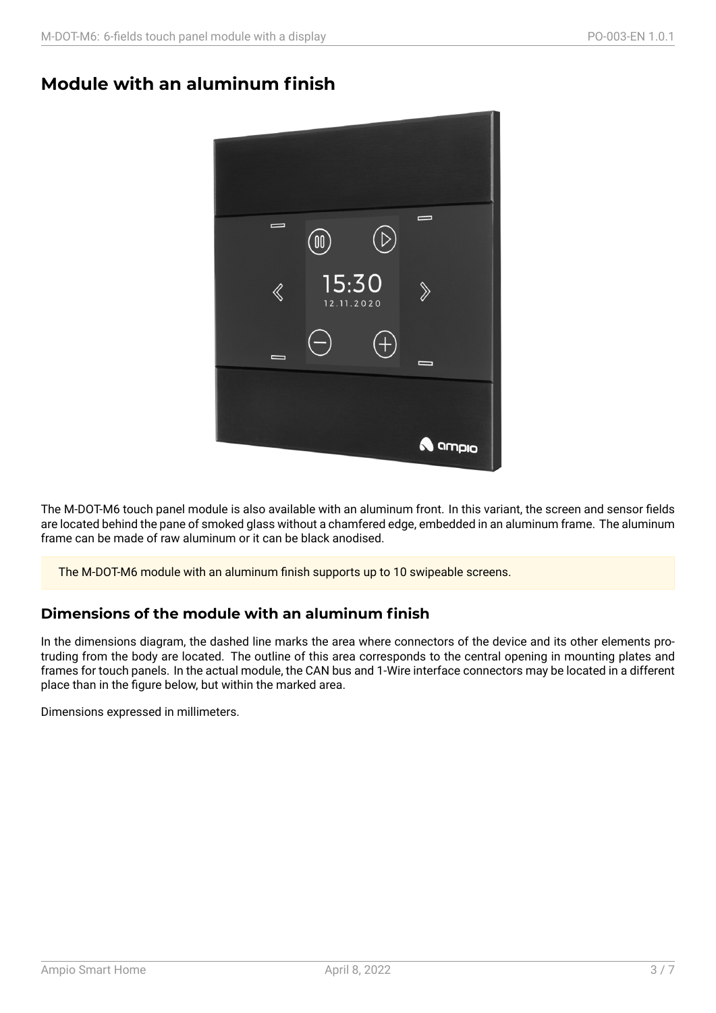#### **Module with an aluminum finish**



The M-DOT-M6 touch panel module is also available with an aluminum front. In this variant, the screen and sensor fields are located behind the pane of smoked glass without a chamfered edge, embedded in an aluminum frame. The aluminum frame can be made of raw aluminum or it can be black anodised.

The M-DOT-M6 module with an aluminum finish supports up to 10 swipeable screens.

#### **Dimensions of the module with an aluminum finish**

In the dimensions diagram, the dashed line marks the area where connectors of the device and its other elements protruding from the body are located. The outline of this area corresponds to the central opening in mounting plates and frames for touch panels. In the actual module, the CAN bus and 1-Wire interface connectors may be located in a different place than in the figure below, but within the marked area.

Dimensions expressed in millimeters.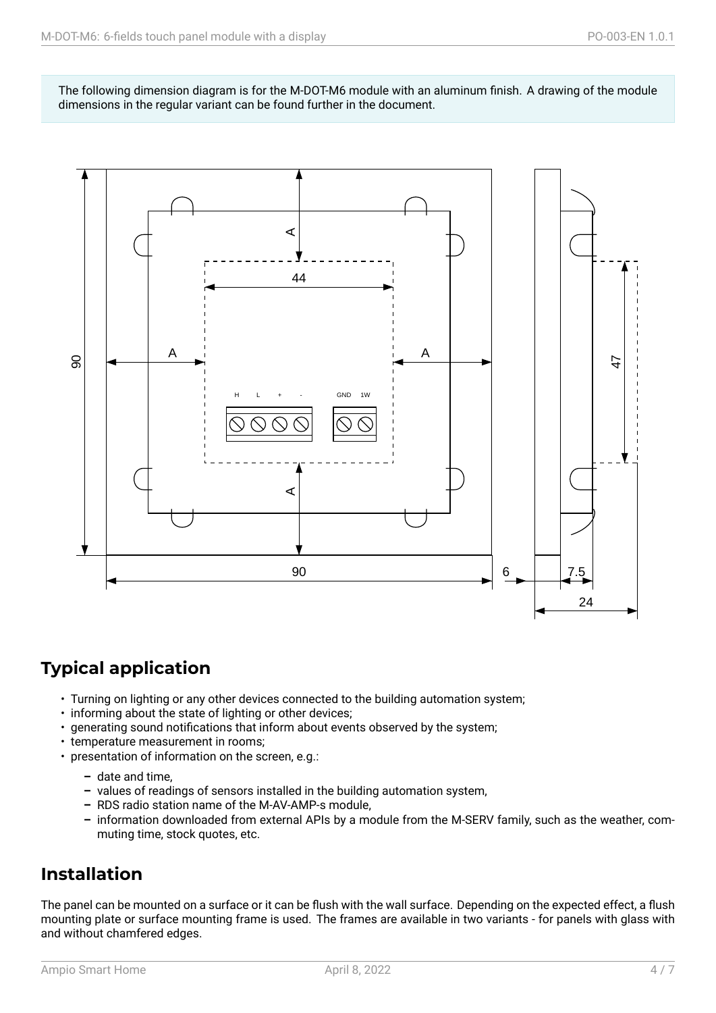The following dimension diagram is for the M-DOT-M6 module with an aluminum finish. A drawing of the module dimensions in the regular variant can be found further in the document.



# **Typical application**

- Turning on lighting or any other devices connected to the building automation system;
- informing about the state of lighting or other devices;
- generating sound notifications that inform about events observed by the system;
- temperature measurement in rooms;
- presentation of information on the screen, e.g.:
	- **–** date and time,
	- **–** values of readings of sensors installed in the building automation system,
	- **–** RDS radio station name of the M-AV-AMP-s module,
	- **–** information downloaded from external APIs by a module from the M-SERV family, such as the weather, commuting time, stock quotes, etc.

### **Installation**

The panel can be mounted on a surface or it can be flush with the wall surface. Depending on the expected effect, a flush mounting plate or surface mounting frame is used. The frames are available in two variants - for panels with glass with and without chamfered edges.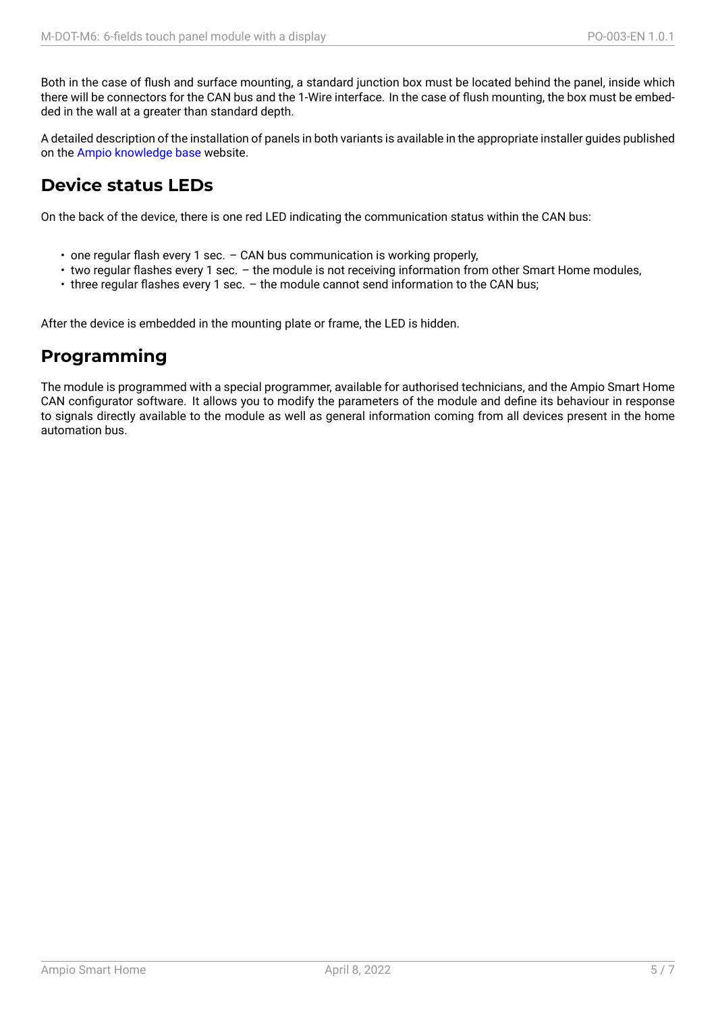Both in the case of flush and surface mounting, a standard junction box must be located behind the panel, inside which there will be connectors for the CAN bus and the 1-Wire interface. In the case of flush mounting, the box must be embedded in the wall at a greater than standard depth.

A detailed description of the installation of panels in both variants is available in the appropriate installer guides published on the Ampio knowledge base website.

### **Device status LEDs**

On the [back of the device, ther](https://help.ampio.com)e is one red LED indicating the communication status within the CAN bus:

- one regular flash every 1 sec. CAN bus communication is working properly,
- two regular flashes every 1 sec. the module is not receiving information from other Smart Home modules,
- three regular flashes every 1 sec. the module cannot send information to the CAN bus;

After the device is embedded in the mounting plate or frame, the LED is hidden.

# **Programming**

The module is programmed with a special programmer, available for authorised technicians, and the Ampio Smart Home CAN configurator software. It allows you to modify the parameters of the module and define its behaviour in response to signals directly available to the module as well as general information coming from all devices present in the home automation bus.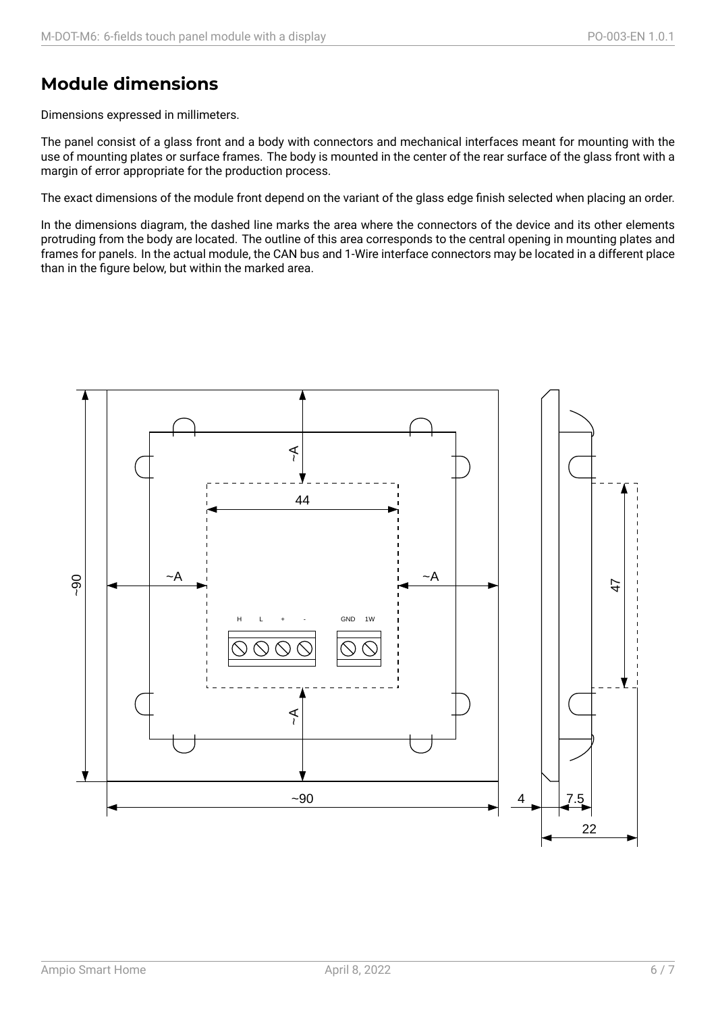# **Module dimensions**

Dimensions expressed in millimeters.

The panel consist of a glass front and a body with connectors and mechanical interfaces meant for mounting with the use of mounting plates or surface frames. The body is mounted in the center of the rear surface of the glass front with a margin of error appropriate for the production process.

The exact dimensions of the module front depend on the variant of the glass edge finish selected when placing an order.

In the dimensions diagram, the dashed line marks the area where the connectors of the device and its other elements protruding from the body are located. The outline of this area corresponds to the central opening in mounting plates and frames for panels. In the actual module, the CAN bus and 1-Wire interface connectors may be located in a different place than in the figure below, but within the marked area.